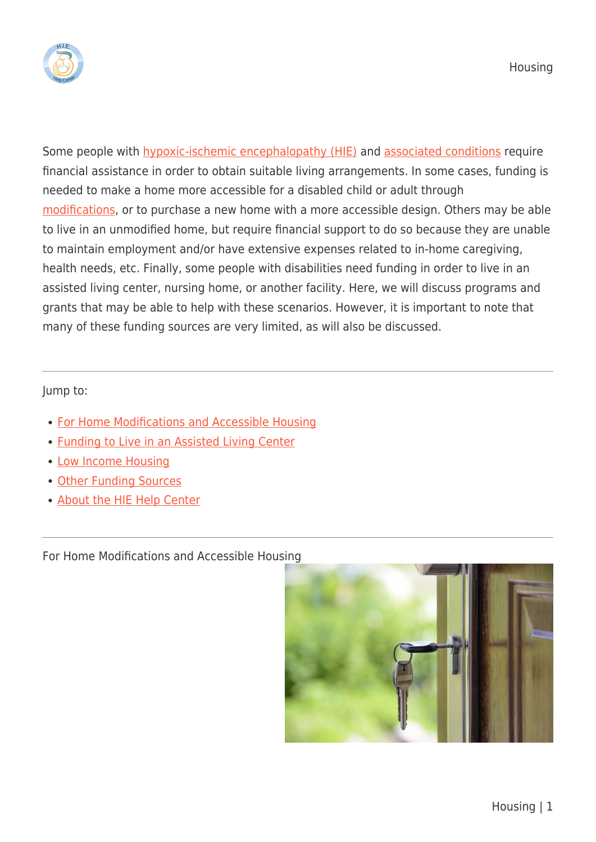

Some people with [hypoxic-ischemic encephalopathy \(HIE\)](https://hiehelpcenter.org/what-is-hypoxic-ischemic-encephalopathy/) and [associated conditions](https://hiehelpcenter.org/medical/associated-conditions/) require financial assistance in order to obtain suitable living arrangements. In some cases, funding is needed to make a home more accessible for a disabled child or adult through [modifications](https://hiehelpcenter.org/caregiving/considerations/home-modifications/), or to purchase a new home with a more accessible design. Others may be able to live in an unmodified home, but require financial support to do so because they are unable to maintain employment and/or have extensive expenses related to in-home caregiving, health needs, etc. Finally, some people with disabilities need funding in order to live in an assisted living center, nursing home, or another facility. Here, we will discuss programs and grants that may be able to help with these scenarios. However, it is important to note that many of these funding sources are very limited, as will also be discussed.

## Jump to:

- [For Home Modifications and Accessible Housing](#page--1-0)
- [Funding to Live in an Assisted Living Center](#page--1-0)
- [Low Income Housing](#page--1-0)
- [Other Funding Sources](#page--1-0)
- [About the HIE Help Center](#page--1-0)

For Home Modifications and Accessible Housing

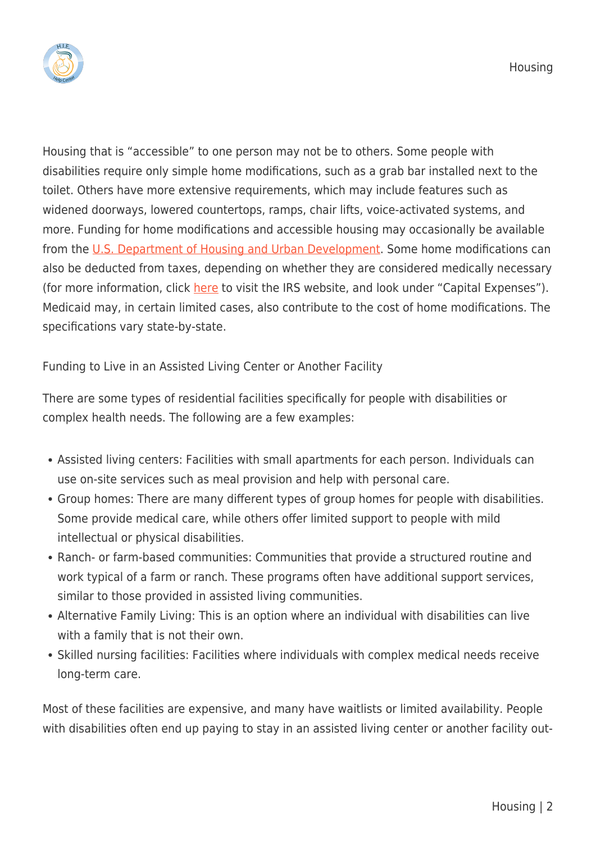

Housing that is "accessible" to one person may not be to others. Some people with disabilities require only simple home modifications, such as a grab bar installed next to the toilet. Others have more extensive requirements, which may include features such as widened doorways, lowered countertops, ramps, chair lifts, voice-activated systems, and more. Funding for home modifications and accessible housing may occasionally be available from the [U.S. Department of Housing and Urban Development.](https://www.hud.gov/) Some home modifications can also be deducted from taxes, depending on whether they are considered medically necessary (for more information, click [here](https://www.irs.gov/publications/p502) to visit the IRS website, and look under "Capital Expenses"). Medicaid may, in certain limited cases, also contribute to the cost of home modifications. The specifications vary state-by-state.

Funding to Live in an Assisted Living Center or Another Facility

There are some types of residential facilities specifically for people with disabilities or complex health needs. The following are a few examples:

- Assisted living centers: Facilities with small apartments for each person. Individuals can use on-site services such as meal provision and help with personal care.
- Group homes: There are many different types of group homes for people with disabilities. Some provide medical care, while others offer limited support to people with mild intellectual or physical disabilities.
- Ranch- or farm-based communities: Communities that provide a structured routine and work typical of a farm or ranch. These programs often have additional support services, similar to those provided in assisted living communities.
- Alternative Family Living: This is an option where an individual with disabilities can live with a family that is not their own.
- Skilled nursing facilities: Facilities where individuals with complex medical needs receive long-term care.

Most of these facilities are expensive, and many have waitlists or limited availability. People with disabilities often end up paying to stay in an assisted living center or another facility out-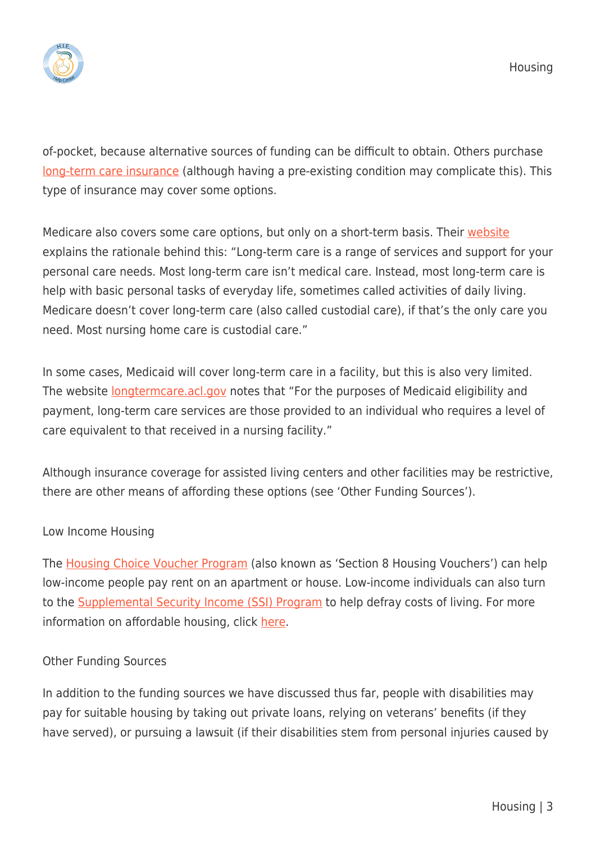

of-pocket, because alternative sources of funding can be difficult to obtain. Others purchase [long-term care insurance](https://www.aarp.org/health/health-insurance/info-06-2012/understanding-long-term-care-insurance.html) (although having a pre-existing condition may complicate this). This type of insurance may cover some options.

Medicare also covers some care options, but only on a short-term basis. Their [website](https://www.medicare.gov/coverage/long-term-care.html) explains the rationale behind this: "Long-term care is a range of services and support for your personal care needs. Most long-term care isn't medical care. Instead, most long-term care is help with basic personal tasks of everyday life, sometimes called activities of daily living. Medicare doesn't cover long-term care (also called custodial care), if that's the only care you need. Most nursing home care is custodial care."

In some cases, Medicaid will cover long-term care in a facility, but this is also very limited. The website **[longtermcare.acl.gov](https://longtermcare.acl.gov/the-basics/glossary.html#medicaid)** notes that "For the purposes of Medicaid eligibility and payment, long-term care services are those provided to an individual who requires a level of care equivalent to that received in a nursing facility."

Although insurance coverage for assisted living centers and other facilities may be restrictive, there are other means of affording these options (see 'Other Funding Sources').

## Low Income Housing

The [Housing Choice Voucher Program](http://portal.hud.gov/hudportal/HUD?src=/program_offices/public_indian_housing/programs/hcv/about/fact_sheet) (also known as 'Section 8 Housing Vouchers') can help low-income people pay rent on an apartment or house. Low-income individuals can also turn to the [Supplemental Security Income \(SSI\) Program](https://www.ssa.gov/ssi/) to help defray costs of living. For more information on affordable housing, click [here](https://www.hud.gov/program_offices/comm_planning/affordablehousing/).

## Other Funding Sources

In addition to the funding sources we have discussed thus far, people with disabilities may pay for suitable housing by taking out private loans, relying on veterans' benefits (if they have served), or pursuing a lawsuit (if their disabilities stem from personal injuries caused by